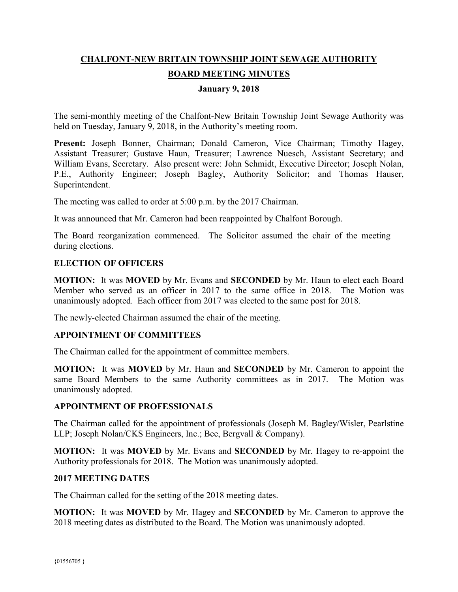# **CHALFONT-NEW BRITAIN TOWNSHIP JOINT SEWAGE AUTHORITY BOARD MEETING MINUTES**

### **January 9, 2018**

The semi-monthly meeting of the Chalfont-New Britain Township Joint Sewage Authority was held on Tuesday, January 9, 2018, in the Authority's meeting room.

Present: Joseph Bonner, Chairman; Donald Cameron, Vice Chairman; Timothy Hagey, Assistant Treasurer; Gustave Haun, Treasurer; Lawrence Nuesch, Assistant Secretary; and William Evans, Secretary. Also present were: John Schmidt, Executive Director; Joseph Nolan, P.E., Authority Engineer; Joseph Bagley, Authority Solicitor; and Thomas Hauser, Superintendent.

The meeting was called to order at 5:00 p.m. by the 2017 Chairman.

It was announced that Mr. Cameron had been reappointed by Chalfont Borough.

The Board reorganization commenced. The Solicitor assumed the chair of the meeting during elections.

# **ELECTION OF OFFICERS**

**MOTION:** It was **MOVED** by Mr. Evans and **SECONDED** by Mr. Haun to elect each Board Member who served as an officer in 2017 to the same office in 2018. The Motion was unanimously adopted. Each officer from 2017 was elected to the same post for 2018.

The newly-elected Chairman assumed the chair of the meeting.

# **APPOINTMENT OF COMMITTEES**

The Chairman called for the appointment of committee members.

**MOTION:** It was **MOVED** by Mr. Haun and **SECONDED** by Mr. Cameron to appoint the same Board Members to the same Authority committees as in 2017. The Motion was unanimously adopted.

#### **APPOINTMENT OF PROFESSIONALS**

The Chairman called for the appointment of professionals (Joseph M. Bagley/Wisler, Pearlstine LLP; Joseph Nolan/CKS Engineers, Inc.; Bee, Bergvall & Company).

**MOTION:** It was **MOVED** by Mr. Evans and **SECONDED** by Mr. Hagey to re-appoint the Authority professionals for 2018. The Motion was unanimously adopted.

#### **2017 MEETING DATES**

The Chairman called for the setting of the 2018 meeting dates.

**MOTION:** It was **MOVED** by Mr. Hagey and **SECONDED** by Mr. Cameron to approve the 2018 meeting dates as distributed to the Board. The Motion was unanimously adopted.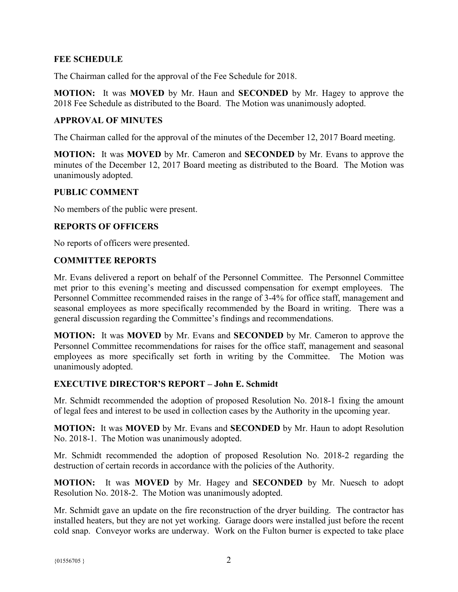### **FEE SCHEDULE**

The Chairman called for the approval of the Fee Schedule for 2018.

**MOTION:** It was **MOVED** by Mr. Haun and **SECONDED** by Mr. Hagey to approve the 2018 Fee Schedule as distributed to the Board. The Motion was unanimously adopted.

### **APPROVAL OF MINUTES**

The Chairman called for the approval of the minutes of the December 12, 2017 Board meeting.

**MOTION:** It was **MOVED** by Mr. Cameron and **SECONDED** by Mr. Evans to approve the minutes of the December 12, 2017 Board meeting as distributed to the Board. The Motion was unanimously adopted.

#### **PUBLIC COMMENT**

No members of the public were present.

#### **REPORTS OF OFFICERS**

No reports of officers were presented.

#### **COMMITTEE REPORTS**

Mr. Evans delivered a report on behalf of the Personnel Committee. The Personnel Committee met prior to this evening's meeting and discussed compensation for exempt employees. The Personnel Committee recommended raises in the range of 3-4% for office staff, management and seasonal employees as more specifically recommended by the Board in writing. There was a general discussion regarding the Committee's findings and recommendations.

**MOTION:** It was **MOVED** by Mr. Evans and **SECONDED** by Mr. Cameron to approve the Personnel Committee recommendations for raises for the office staff, management and seasonal employees as more specifically set forth in writing by the Committee. The Motion was unanimously adopted.

#### **EXECUTIVE DIRECTOR'S REPORT – John E. Schmidt**

Mr. Schmidt recommended the adoption of proposed Resolution No. 2018-1 fixing the amount of legal fees and interest to be used in collection cases by the Authority in the upcoming year.

**MOTION:** It was **MOVED** by Mr. Evans and **SECONDED** by Mr. Haun to adopt Resolution No. 2018-1. The Motion was unanimously adopted.

Mr. Schmidt recommended the adoption of proposed Resolution No. 2018-2 regarding the destruction of certain records in accordance with the policies of the Authority.

**MOTION:** It was **MOVED** by Mr. Hagey and **SECONDED** by Mr. Nuesch to adopt Resolution No. 2018-2. The Motion was unanimously adopted.

Mr. Schmidt gave an update on the fire reconstruction of the dryer building. The contractor has installed heaters, but they are not yet working. Garage doors were installed just before the recent cold snap. Conveyor works are underway. Work on the Fulton burner is expected to take place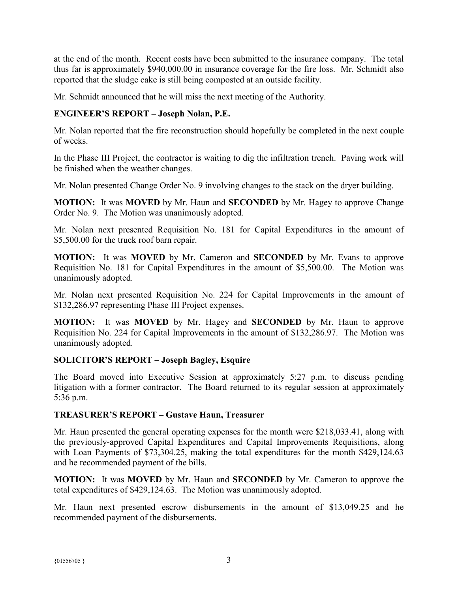at the end of the month. Recent costs have been submitted to the insurance company. The total thus far is approximately \$940,000.00 in insurance coverage for the fire loss. Mr. Schmidt also reported that the sludge cake is still being composted at an outside facility.

Mr. Schmidt announced that he will miss the next meeting of the Authority.

# **ENGINEER'S REPORT – Joseph Nolan, P.E.**

Mr. Nolan reported that the fire reconstruction should hopefully be completed in the next couple of weeks.

In the Phase III Project, the contractor is waiting to dig the infiltration trench. Paving work will be finished when the weather changes.

Mr. Nolan presented Change Order No. 9 involving changes to the stack on the dryer building.

**MOTION:** It was **MOVED** by Mr. Haun and **SECONDED** by Mr. Hagey to approve Change Order No. 9. The Motion was unanimously adopted.

Mr. Nolan next presented Requisition No. 181 for Capital Expenditures in the amount of \$5,500.00 for the truck roof barn repair.

**MOTION:** It was **MOVED** by Mr. Cameron and **SECONDED** by Mr. Evans to approve Requisition No. 181 for Capital Expenditures in the amount of \$5,500.00. The Motion was unanimously adopted.

Mr. Nolan next presented Requisition No. 224 for Capital Improvements in the amount of \$132,286.97 representing Phase III Project expenses.

**MOTION:** It was **MOVED** by Mr. Hagey and **SECONDED** by Mr. Haun to approve Requisition No. 224 for Capital Improvements in the amount of \$132,286.97. The Motion was unanimously adopted.

# **SOLICITOR'S REPORT – Joseph Bagley, Esquire**

The Board moved into Executive Session at approximately 5:27 p.m. to discuss pending litigation with a former contractor. The Board returned to its regular session at approximately 5:36 p.m.

# **TREASURER'S REPORT – Gustave Haun, Treasurer**

Mr. Haun presented the general operating expenses for the month were \$218,033.41, along with the previously-approved Capital Expenditures and Capital Improvements Requisitions, along with Loan Payments of \$73,304.25, making the total expenditures for the month \$429,124.63 and he recommended payment of the bills.

**MOTION:** It was **MOVED** by Mr. Haun and **SECONDED** by Mr. Cameron to approve the total expenditures of \$429,124.63. The Motion was unanimously adopted.

Mr. Haun next presented escrow disbursements in the amount of \$13,049.25 and he recommended payment of the disbursements.